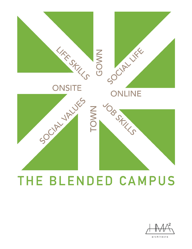

## THE BLENDED CAMPUS



architects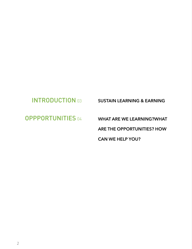### INTRODUCTION 03 SUSTAIN LEARNING & EARNING

OPPPORTUNITIES 04 WHAT ARE WE LEARNING?WHAT ARE THE OPPORTUNITIES? HOW CAN WE HELP YOU?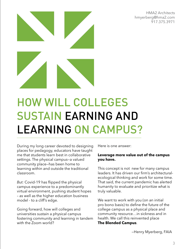HMA2 Architects [hmyerberg@hma2.com](mailto:hmyerberg@hma2.com) 917.375.3971



# HOW WILL COLLEGES SUSTAIN EARNING AND LEARNING ON CAMPUS?

During my long career devoted to designing places for pedagogy, educators have taught me that students learn best in collaborative settings. The physical campus—a valued community place—has been home to learning within and outside the traditional classroom.

*But:* Covid-19 has flipped the physical campus experience to a predominantly virtual environment, pushing student hopes – as well as the higher education business model - to a cliff's edge.

Going forward, how will colleges and universities sustain a physical campus fostering community and learning in tandem with the Zoom world?

Here is one answer:

### **Leverage more value out of the campus you have.**

This concept is not new for many campus leaders. It has driven our firm's architecturalecological thinking and work for some time. That said, the current pandemic has alerted humanity to evaluate and prioritize what is truly valuable.

We want to work with you (on an initial pro bono basis) to define the future of the college campus as a physical place and community resource…in sickness and in health. We call this reinvented place **The Blended Campus**.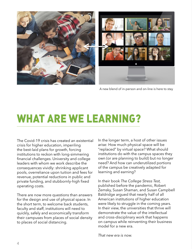

A new blend of in-person and on-line is here to stay

### WHAT ARE WE LEARNING?

The Covid-19 crisis has created an existential crisis for higher education, imperiling the best-laid plans for growth, forcing institutions to reckon with long-simmering financial challenges. University and college leaders with whom we work describe the consequences vividly: shrinking applicant pools, overreliance upon tuition and fees for revenue, potential reductions in public and private funding, and stubbornly-high fixed operating costs.

There are now more questions than answers for the design and use of physical space. In the short term, to welcome back students, faculty and staff, institutions will need to quickly, safely and economically transform their campuses from places of social density to places of social distancing.

In the longer term, a host of other issues arise: How much physical space will be "replaced" by virtual space? What should institutions do with the campus spaces they own (or are planning to build) but no longer need? And how can underutilized portions of the campus be creatively adapted for learning and earning?

In their book *The College Stress Test,* published before the pandemic, Robert Zemsky, Susan Shaman, and Susan Campbell Baldridge argued that nearly half of all American institutions of higher education were likely to struggle in the coming years. In their view, the universities that thrive will demonstrate the value of the intellectual and cross-disciplinary work that happens on campus while reinventing their business model for a new era.

*That new era is now.*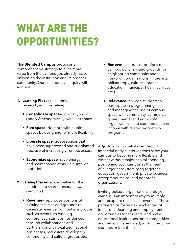## WHAT ARE THE OPPORTUNITIES?

**The Blended Campus** proposes a comprehensive strategy to elicit more value from the campus you already have, enlivening the institution and its broader community. Our collaborative inquiry will address:

- **1. Learning Places** (academic, research, administrative):
	- **• Consolidate space**—do what you do (safely & economically) with less space
	- **• Flex space**—do more with existing spaces by designing for more flexibility
	- **• Liberate space**—adapt spaces that have been superceded and supplanted because of increasingly-remote access
	- **• Economize space**—save energy and maintenance costs via a smaller footprint
- **2. Earning Places** (added value for the institution as a shared resource *with* its community):
	- **Revenue**—repurpose portions of existing facilities and grounds to generate revenue from outside groups such as events, co-working, conferences, start ups, residences through collaborations and partnerships with local and national businesses, real estate developers, community and cultural groups etc.
- **Renown**—share/host portions of campus buildings and grounds for neighboring community and non-profit organizations (in the arts, philanthropy, culture, libraries, education, municipal, health services, etc.)
- **Relevance**—engage students to participate in programming and managing the use of campus space with community, commercial, governmental and non-profit organizations; and students can earn income with related work-study programs

Adjustments to spatial uses through impactful design interventions allow your campus to become more flexible and vibrant without major capital spending, positioning your campus as the heart of a larger ecosystem tying together education, government, private business, entrepreneurships, and nonprofit organizations.

Inviting outside organizations onto your campus is an important way to multiply and recapture real estate revenues. These partnerships foster new exchanges of ideas, offer learning and employment opportunities for students, and make educational institutions more competitive and better differentiated, without requiring students to foot the bill.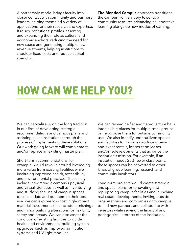A partnership model brings faculty into closer contact with community and business leaders, helping them find a variety of applications for their research and expertise. It raises institutions' profiles, asserting and expanding their role as cultural and economic anchors, reducing the need for new space and generating multiple new revenue streams, helping institutions to shoulder fixed costs and reduce capital spending.

**The Blended Campus** approach transitions the campus from an ivory tower to a community resource advancing collaborative learning alongside new modes of earning.

### HOW CAN WE HELP YOU?

We can capitalize upon the long tradition in our firm of developing strategic recommendations and campus plans and assisting client institutions through the process of implementing these solutions. Our work going forward will complement and/or replace an existing master plan.

Short-term recommendations, for example, would revolve around leveraging more value from existing facilities while instituting improved health, accessibility and environmental practices. These may include integrating a campus's physical and virtual identities as well as inventorying and studying the use of campus spaces to consolidate and put them to their best use. We can explore low-cost, high-impact material investments that include furnishings and minor building alterations for flexibility, safety and beauty. We can also assess the condition of existing facilities to guide health and environmental building system upgrades, such as improved air filtration systems and UV light modules.

We can reimagine flat and tiered lecture halls into flexible places for multiple small groups or repurpose them for outside community use. We also identify underutilized spaces and facilities for income-producing tenant and event rentals, longer term leases, and/or redevelopments that advance the institution's mission. For example, if an institution needs 25% fewer classrooms, those spaces can be converted to other kinds of group learning, research and community incubators.

Long-term projects would create strategic and spatial plans for renovating and repurposing campus facilities and launching real estate developments, inviting outside organizations and companies onto campus to find new partners and collaborate with investors while serving the financial and pedagogical interests of the institution.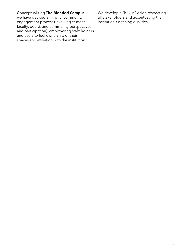Conceptualizing **The Blended Campus**, we have devised a mindful community engagement process (involving student, faculty, board, and community perspectives and participation) empowering stakeholders and users to feel ownership of their spaces and affiliation with the institution.

We develop a "buy in" vision respecting all stakeholders and accentuating the institution's defining qualities.